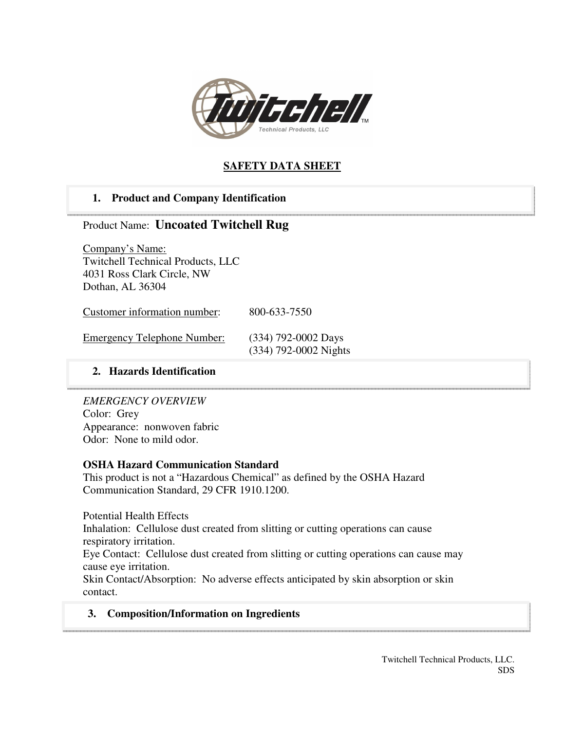

# **SAFETY DATA SHEET**

# **1. Product and Company Identification**

# Product Name: **Uncoated Twitchell Rug**

Company's Name: Twitchell Technical Products, LLC 4031 Ross Clark Circle, NW Dothan, AL 36304

Customer information number: 800-633-7550

| <b>Emergency Telephone Number:</b> | $(334)$ 792-0002 Days   |
|------------------------------------|-------------------------|
|                                    | $(334)$ 792-0002 Nights |

### **2. Hazards Identification**

*EMERGENCY OVERVIEW*  Color: Grey Appearance: nonwoven fabric Odor: None to mild odor.

### **OSHA Hazard Communication Standard**

This product is not a "Hazardous Chemical" as defined by the OSHA Hazard Communication Standard, 29 CFR 1910.1200.

Potential Health Effects Inhalation: Cellulose dust created from slitting or cutting operations can cause respiratory irritation. Eye Contact: Cellulose dust created from slitting or cutting operations can cause may cause eye irritation.

Skin Contact/Absorption: No adverse effects anticipated by skin absorption or skin contact.

# **3. Composition/Information on Ingredients**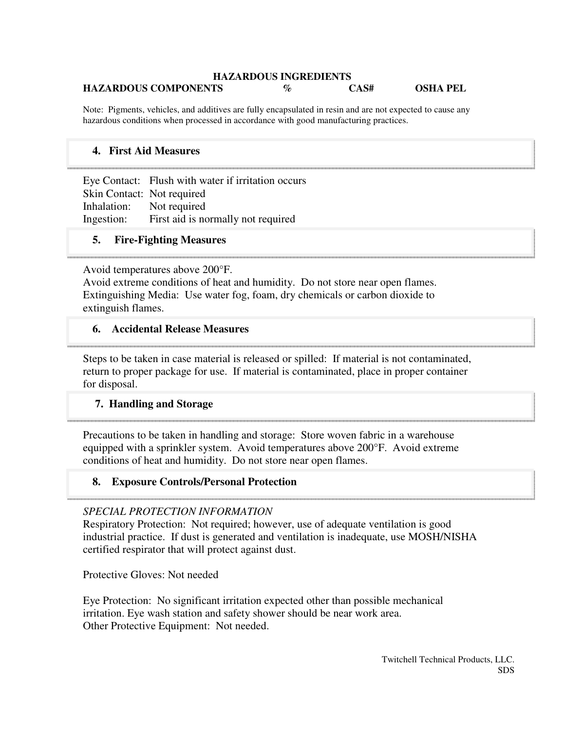#### **HAZARDOUS INGREDIENTS HAZARDOUS COMPONENTS % CAS# OSHA PEL**

Note: Pigments, vehicles, and additives are fully encapsulated in resin and are not expected to cause any hazardous conditions when processed in accordance with good manufacturing practices.

# **4. First Aid Measures**

Eye Contact: Flush with water if irritation occurs Skin Contact: Not required Inhalation: Not required Ingestion: First aid is normally not required

### **5. Fire-Fighting Measures**

Avoid temperatures above 200°F.

Avoid extreme conditions of heat and humidity. Do not store near open flames. Extinguishing Media: Use water fog, foam, dry chemicals or carbon dioxide to extinguish flames.

### **6. Accidental Release Measures**

Steps to be taken in case material is released or spilled: If material is not contaminated, return to proper package for use. If material is contaminated, place in proper container for disposal.

#### **7. Handling and Storage**

Precautions to be taken in handling and storage: Store woven fabric in a warehouse equipped with a sprinkler system. Avoid temperatures above 200°F. Avoid extreme conditions of heat and humidity. Do not store near open flames.

#### **8. Exposure Controls/Personal Protection**

#### *SPECIAL PROTECTION INFORMATION*

Respiratory Protection: Not required; however, use of adequate ventilation is good industrial practice. If dust is generated and ventilation is inadequate, use MOSH/NISHA certified respirator that will protect against dust.

Protective Gloves: Not needed

Eye Protection: No significant irritation expected other than possible mechanical irritation. Eye wash station and safety shower should be near work area. Other Protective Equipment: Not needed.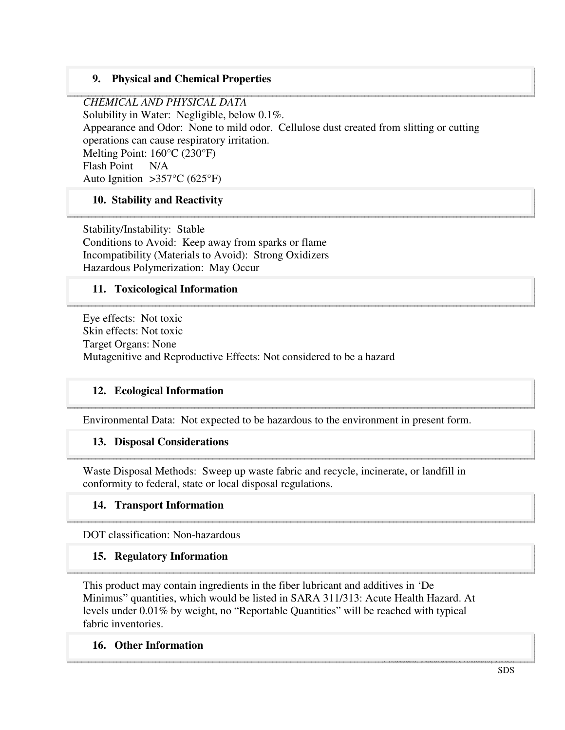# **9. Physical and Chemical Properties**

*CHEMICAL AND PHYSICAL DATA*  Solubility in Water: Negligible, below 0.1%. Appearance and Odor: None to mild odor. Cellulose dust created from slitting or cutting operations can cause respiratory irritation. Melting Point: 160°C (230°F) Flash Point N/A Auto Ignition  $>357^{\circ}C$  (625°F)

### **10. Stability and Reactivity**

Stability/Instability: Stable Conditions to Avoid: Keep away from sparks or flame Incompatibility (Materials to Avoid): Strong Oxidizers Hazardous Polymerization: May Occur

### **11. Toxicological Information**

Eye effects: Not toxic Skin effects: Not toxic Target Organs: None Mutagenitive and Reproductive Effects: Not considered to be a hazard

#### **12. Ecological Information**

Environmental Data: Not expected to be hazardous to the environment in present form.

#### **13. Disposal Considerations**

Waste Disposal Methods: Sweep up waste fabric and recycle, incinerate, or landfill in conformity to federal, state or local disposal regulations.

#### **14. Transport Information**

DOT classification: Non-hazardous

#### **15. Regulatory Information**

This product may contain ingredients in the fiber lubricant and additives in 'De Minimus" quantities, which would be listed in SARA 311/313: Acute Health Hazard. At levels under 0.01% by weight, no "Reportable Quantities" will be reached with typical fabric inventories.

#### **16. Other Information**

Twitchell Technical Products, LLC. The control technical Products, LLC. The control technical Products, LLC.